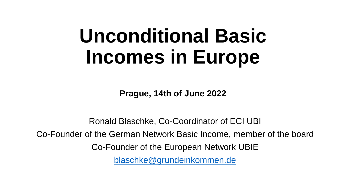# **Unconditional Basic Incomes in Europe**

**Prague, 14th of June 2022**

Ronald Blaschke, Co-Coordinator of ECI UBI Co-Founder of the German Network Basic Income, member of the board Co-Founder of the European Network UBIE [blaschke@grundeinkommen.de](mailto:blaschke@grundeinkommen.de)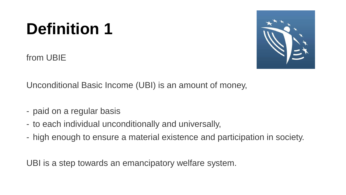# **Definition 1**

from UBIE



Unconditional Basic Income (UBI) is an amount of money,

- paid on a regular basis
- to each individual unconditionally and universally,
- high enough to ensure a material existence and participation in society.

UBI is a step towards an emancipatory welfare system.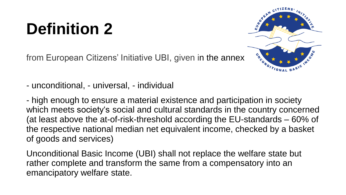## **Definition 2**

from European Citizens' Initiative UBI, given in the annex



- unconditional, - universal, - individual

- high enough to ensure a material existence and participation in society which meets society's social and cultural standards in the country concerned (at least above the at-of-risk-threshold according the EU-standards – 60% of the respective national median net equivalent income, checked by a basket of goods and services)

Unconditional Basic Income (UBI) shall not replace the welfare state but rather complete and transform the same from a compensatory into an emancipatory welfare state.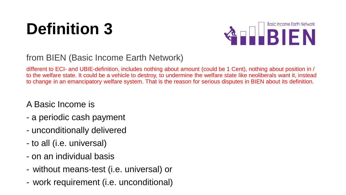# **Definition 3**



#### from BIEN (Basic Income Earth Network)

different to ECI- and UBIE-definition, includes nothing about amount (could be 1 Cent), nothing about position in / to the welfare state. It could be a vehicle to destroy, to undermine the welfare state like neoliberals want it, instead to change in an emancipatory welfare system. That is the reason for serious disputes in BIEN about its definition.

#### A Basic Income is

- a periodic cash payment
- unconditionally delivered
- to all (i.e. universal)
- on an individual basis
- without means-test (i.e. universal) or
- work requirement (i.e. unconditional)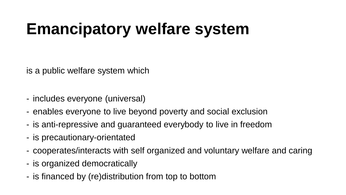# **Emancipatory welfare system**

is a public welfare system which

- includes everyone (universal)
- enables everyone to live beyond poverty and social exclusion
- is anti-repressive and guaranteed everybody to live in freedom
- is precautionary-orientated
- cooperates/interacts with self organized and voluntary welfare and caring
- is organized democratically
- is financed by (re)distribution from top to bottom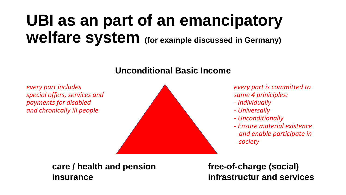# **UBI as an part of an emancipatory welfare system (for example discussed in Germany)**

#### **Unconditional Basic Income**



- 
- 
- *- Unconditionally*
- *Ensure material existence and enable participate in society*

**care / health and pension free-of-charge (social)** 

**insurance infrastructur and services**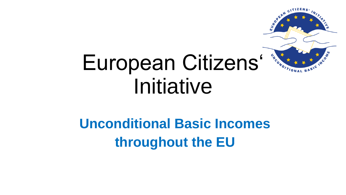

# European Citizens' \*\*\* Initiative

## **Unconditional Basic Incomes throughout the EU**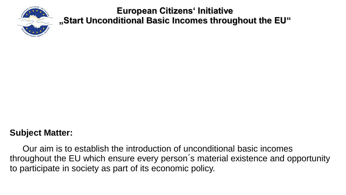

#### **Subject Matter:**

Our aim is to establish the introduction of unconditional basic incomes throughout the EU which ensure every person´s material existence and opportunity to participate in society as part of its economic policy.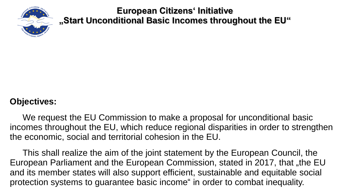

#### **Objectives:**

We request the EU Commission to make a proposal for unconditional basic incomes throughout the EU, which reduce regional disparities in order to strengthen the economic, social and territorial cohesion in the EU.

This shall realize the aim of the joint statement by the European Council, the European Parliament and the European Commission, stated in 2017, that "the EU and its member states will also support efficient, sustainable and equitable social protection systems to guarantee basic income" in order to combat inequality.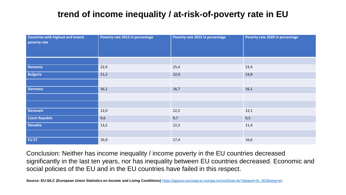### **trend of income inequality / at-risk-of-poverty rate in EU**

| <b>Countries with highest and lowest</b><br>poverty rate | Poverty rate 2012 in percentage | Poverty rate 2015 in percentage | Poverty rate 2020 in percentage |
|----------------------------------------------------------|---------------------------------|---------------------------------|---------------------------------|
|                                                          |                                 |                                 |                                 |
| Romania                                                  | 22,9                            | 25,4                            | 23,4                            |
| <b>Bulgaria</b>                                          | 21,2                            | 22,0                            | 23,8                            |
|                                                          |                                 |                                 |                                 |
| <b>Germany</b>                                           | 16,1                            | 16,7                            | 16,1                            |
|                                                          |                                 |                                 |                                 |
|                                                          |                                 |                                 |                                 |
| <b>Denmark</b>                                           | 12,0                            | 12,2                            | 12,1                            |
| <b>Czech Republic</b>                                    | 9,6                             | 9,7                             | 9,5                             |
| Slovakia                                                 | 13,2                            | 12,3                            | 11,4                            |
|                                                          |                                 |                                 |                                 |
| <b>EU 27</b>                                             | 16,9                            | 17,4                            | 16,6                            |

Conclusion: Neither has income inequality / income poverty in the EU countries decreased significantly in the last ten years, nor has inequality between EU countries decreased. Economic and social policies of the EU and in the EU countries have failed in this respect.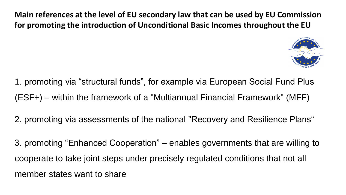**Main references at the level of EU secondary law that can be used by EU Commission for promoting the introduction of Unconditional Basic Incomes throughout the EU**



- 1. promoting via "structural funds", for example via European Social Fund Plus (ESF+) – within the framework of a "Multiannual Financial Framework" (MFF)
- 2. promoting via assessments of the national "Recovery and Resilience Plans"
- 3. promoting "Enhanced Cooperation" enables governments that are willing to cooperate to take joint steps under precisely regulated conditions that not all member states want to share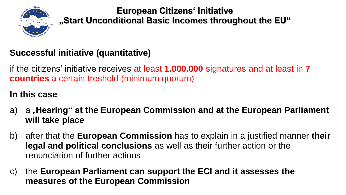

### **Successful initiative (quantitative)**

if the citizens' initiative receives at least **1.000.000** signatures and at least in **7 countries** a certain treshold (minimum quorum)

#### **In this case**

- a) a "**Hearing" at the European Commission and at the European Parliament will take place**
- b) after that the **European Commission** has to explain in a justified manner **their legal and political conclusions** as well as their further action or the renunciation of further actions
- c) the **European Parliament can support the ECI and it assesses the measures of the European Commission**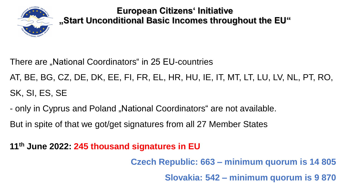

There are "National Coordinators" in 25 EU-countries

AT, BE, BG, CZ, DE, DK, EE, FI, FR, EL, HR, HU, IE, IT, MT, LT, LU, LV, NL, PT, RO, SK, SI, ES, SE

- only in Cyprus and Poland "National Coordinators" are not available.
- But in spite of that we got/get signatures from all 27 Member States

**11th June 2022: 245 thousand signatures in EU** 

**Czech Republic: 663 – minimum quorum is 14 805**

**Slovakia: 542 – minimum quorum is 9 870**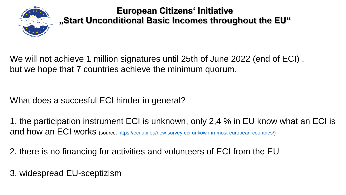

We will not achieve 1 million signatures until 25th of June 2022 (end of ECI) , but we hope that 7 countries achieve the minimum quorum.

What does a succesful ECI hinder in general?

1. the participation instrument ECI is unknown, only 2,4 % in EU know what an ECI is and how an ECI works (source: [https://eci-ubi.eu/new-survey-eci-unkown-in-most-european-countries/\)](https://eci-ubi.eu/new-survey-eci-unkown-in-most-european-countries/)

2. there is no financing for activities and volunteers of ECI from the EU

3. widespread EU-sceptizism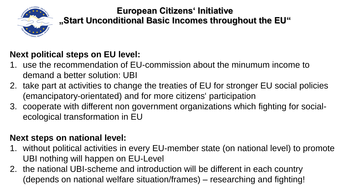

### **Next political steps on EU level:**

- 1. use the recommendation of EU-commission about the minumum income to demand a better solution: UBI
- 2. take part at activities to change the treaties of EU for stronger EU social policies (emancipatory-orientated) and for more citizens' participation
- 3. cooperate with different non government organizations which fighting for socialecological transformation in EU

#### **Next steps on national level:**

- 1. without political activities in every EU-member state (on national level) to promote UBI nothing will happen on EU-Level
- 2. the national UBI-scheme and introduction will be different in each country (depends on national welfare situation/frames) – researching and fighting!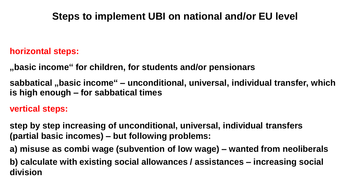### **Steps to implement UBI on national and/or EU level**

#### **horizontal steps:**

**"basic income" for children, for students and/or pensionars**

**sabbatical "basic income" – unconditional, universal, individual transfer, which is high enough – for sabbatical times**

**vertical steps:**

**step by step increasing of unconditional, universal, individual transfers (partial basic incomes) – but following problems:**

**a) misuse as combi wage (subvention of low wage) – wanted from neoliberals**

**b) calculate with existing social allowances / assistances – increasing social division**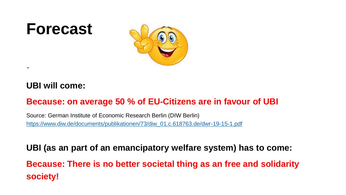## **Forecast**



#### **UBI will come:**

 $\pmb{r}$ 

#### **Because: on average 50 % of EU-Citizens are in favour of UBI**

Source: German Institute of Economic Research Berlin (DIW Berlin) [https://www.diw.de/documents/publikationen/73/diw\\_01.c.618763.de/dwr-19-15-1.pdf](https://www.diw.de/documents/publikationen/73/diw_01.c.618763.de/dwr-19-15-1.pdf)

**UBI (as an part of an emancipatory welfare system) has to come: Because: There is no better societal thing as an free and solidarity society!**